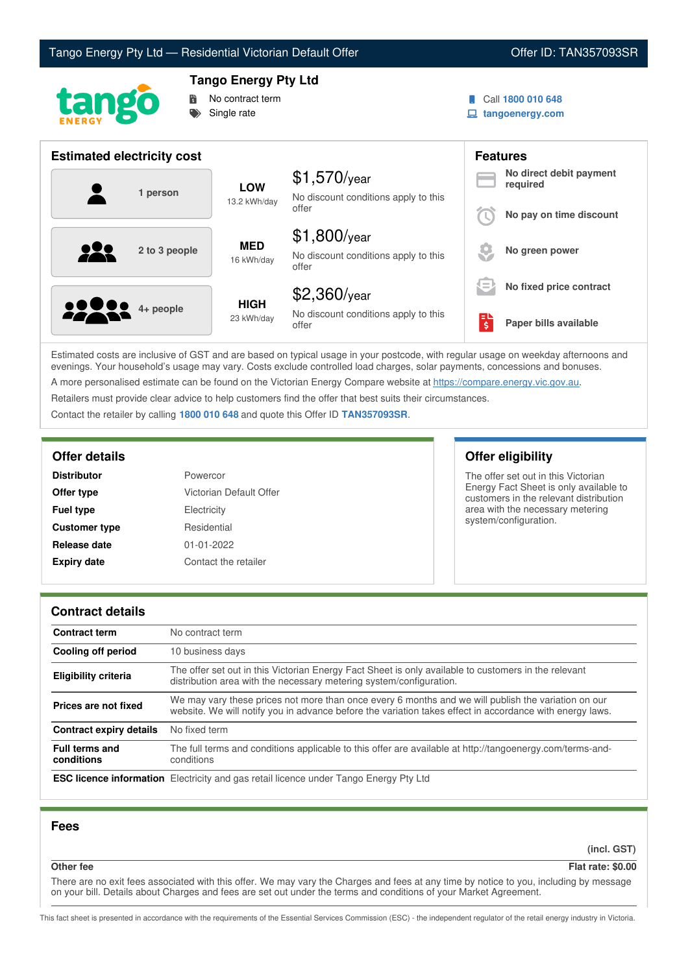



# **Tango Energy Pty Ltd**



Call **1800 010 648**

**tangoenergy.com**

| <b>Estimated electricity cost</b> |                            |                                                                 |                                     | <b>Features</b>                     |
|-----------------------------------|----------------------------|-----------------------------------------------------------------|-------------------------------------|-------------------------------------|
| 1 person                          | <b>LOW</b><br>13.2 kWh/day | $$1,570$ /year<br>No discount conditions apply to this          |                                     | No direct debit payment<br>required |
|                                   |                            | offer                                                           |                                     | No pay on time discount             |
| <u>929</u><br>2 to 3 people       | <b>MED</b><br>16 kWh/day   | $$1,800$ /year<br>No discount conditions apply to this<br>offer |                                     | No green power                      |
|                                   |                            | $$2,360$ /year                                                  | ι=                                  | No fixed price contract             |
| <b>10000</b> 4+ people            | <b>HIGH</b><br>23 kWh/day  | No discount conditions apply to this<br>offer                   | $\overline{\boldsymbol{\varsigma}}$ | Paper bills available               |

Estimated costs are inclusive of GST and are based on typical usage in your postcode, with regular usage on weekday afternoons and evenings. Your household's usage may vary. Costs exclude controlled load charges, solar payments, concessions and bonuses. A more personalised estimate can be found on the Victorian Energy Compare website at <https://compare.energy.vic.gov.au>.

Retailers must provide clear advice to help customers find the offer that best suits their circumstances.

Contact the retailer by calling **1800 010 648** and quote this Offer ID **TAN357093SR**.

| <b>Distributor</b>   | Powercor                |
|----------------------|-------------------------|
| Offer type           | Victorian Default Offer |
| <b>Fuel type</b>     | Electricity             |
| <b>Customer type</b> | Residential             |
| Release date         | $01 - 01 - 2022$        |
| <b>Expiry date</b>   | Contact the retailer    |

## **Offer details Offer eligibility**

The offer set out in this Victorian Energy Fact Sheet is only available to customers in the relevant distribution area with the necessary metering system/configuration.

## **Contract details**

| <b>Contract term</b>                | No contract term                                                                                                                                                                                                |
|-------------------------------------|-----------------------------------------------------------------------------------------------------------------------------------------------------------------------------------------------------------------|
| Cooling off period                  | 10 business days                                                                                                                                                                                                |
| <b>Eligibility criteria</b>         | The offer set out in this Victorian Energy Fact Sheet is only available to customers in the relevant<br>distribution area with the necessary metering system/configuration.                                     |
| Prices are not fixed                | We may vary these prices not more than once every 6 months and we will publish the variation on our<br>website. We will notify you in advance before the variation takes effect in accordance with energy laws. |
| <b>Contract expiry details</b>      | No fixed term                                                                                                                                                                                                   |
| <b>Full terms and</b><br>conditions | The full terms and conditions applicable to this offer are available at http://tangoenergy.com/terms-and-<br>conditions                                                                                         |
|                                     | <b>ESC licence information</b> Electricity and gas retail licence under Tango Energy Pty Ltd                                                                                                                    |

## **Fees**

**(incl. GST)**

**Other fee Flat rate: \$0.00**

There are no exit fees associated with this offer. We may vary the Charges and fees at any time by notice to you, including by message on your bill. Details about Charges and fees are set out under the terms and conditions of your Market Agreement.

This fact sheet is presented in accordance with the requirements of the Essential Services Commission (ESC) - the independent regulator of the retail energy industry in Victoria.